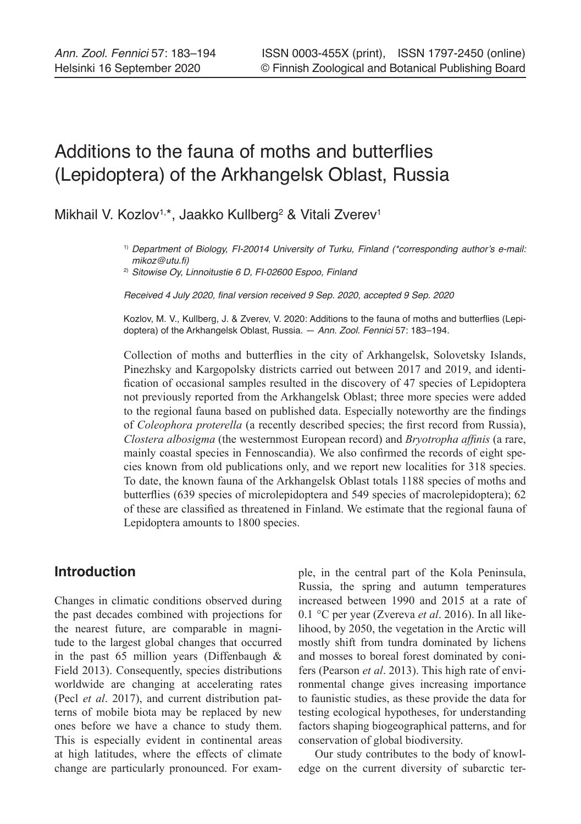# Additions to the fauna of moths and butterflies (Lepidoptera) of the Arkhangelsk Oblast, Russia

Mikhail V. Kozlov<sup>1,\*</sup>, Jaakko Kullberg<sup>2</sup> & Vitali Zverev<sup>1</sup>

2) *Sitowise Oy, Linnoitustie 6 D, FI-02600 Espoo, Finland*

Received 4 July 2020, final version received 9 Sep. 2020, accepted 9 Sep. 2020

Kozlov, M. V., Kullberg, J. & Zverev, V. 2020: Additions to the fauna of moths and butterflies (Lepidoptera) of the Arkhangelsk Oblast, Russia. — *Ann. Zool. Fennici* 57: 183–194.

Collection of moths and butterflies in the city of Arkhangelsk, Solovetsky Islands, Pinezhsky and Kargopolsky districts carried out between 2017 and 2019, and identification of occasional samples resulted in the discovery of 47 species of Lepidoptera not previously reported from the Arkhangelsk Oblast; three more species were added to the regional fauna based on published data. Especially noteworthy are the findings of *Coleophora proterella* (a recently described species; the first record from Russia), *Clostera albosigma* (the westernmost European record) and *Bryotropha affinis* (a rare, mainly coastal species in Fennoscandia). We also confirmed the records of eight species known from old publications only, and we report new localities for 318 species. To date, the known fauna of the Arkhangelsk Oblast totals 1188 species of moths and butterflies (639 species of microlepidoptera and 549 species of macrolepidoptera); 62 of these are classified as threatened in Finland. We estimate that the regional fauna of Lepidoptera amounts to 1800 species.

# **Introduction**

Changes in climatic conditions observed during the past decades combined with projections for the nearest future, are comparable in magnitude to the largest global changes that occurred in the past 65 million years (Diffenbaugh & Field 2013). Consequently, species distributions worldwide are changing at accelerating rates (Pecl *et al*. 2017), and current distribution patterns of mobile biota may be replaced by new ones before we have a chance to study them. This is especially evident in continental areas at high latitudes, where the effects of climate change are particularly pronounced. For example, in the central part of the Kola Peninsula, Russia, the spring and autumn temperatures increased between 1990 and 2015 at a rate of 0.1 °C per year (Zvereva *et al*. 2016). In all likelihood, by 2050, the vegetation in the Arctic will mostly shift from tundra dominated by lichens and mosses to boreal forest dominated by conifers (Pearson *et al*. 2013). This high rate of environmental change gives increasing importance to faunistic studies, as these provide the data for testing ecological hypotheses, for understanding factors shaping biogeographical patterns, and for conservation of global biodiversity.

Our study contributes to the body of knowledge on the current diversity of subarctic ter-

<sup>&</sup>lt;sup>1)</sup> Department of Biology, FI-20014 University of Turku, Finland (\*corresponding author's e-mail: mikoz@utu.fi)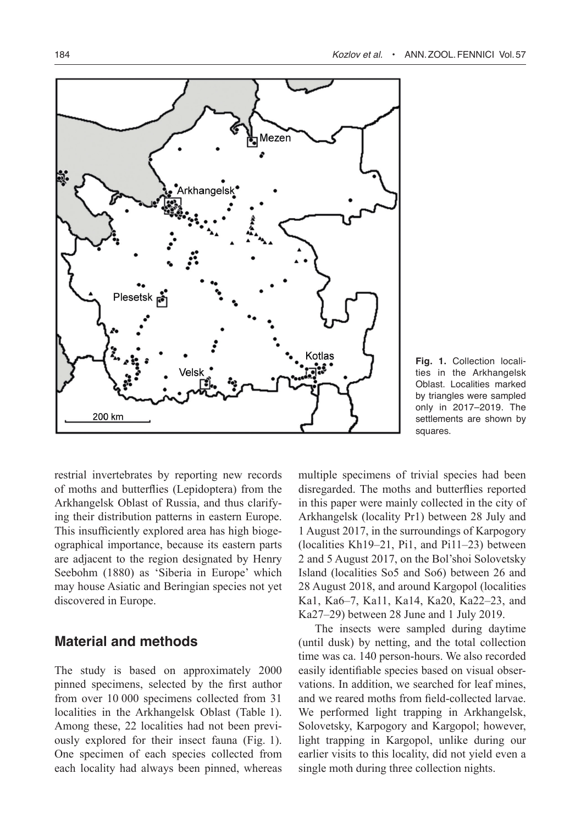

**Fig. 1.** Collection localities in the Arkhangelsk Oblast. Localities marked by triangles were sampled only in 2017–2019. The settlements are shown by squares.

restrial invertebrates by reporting new records of moths and butterflies (Lepidoptera) from the Arkhangelsk Oblast of Russia, and thus clarifying their distribution patterns in eastern Europe. This insufficiently explored area has high biogeographical importance, because its eastern parts are adjacent to the region designated by Henry Seebohm (1880) as 'Siberia in Europe' which may house Asiatic and Beringian species not yet discovered in Europe.

# **Material and methods**

The study is based on approximately 2000 pinned specimens, selected by the first author from over 10 000 specimens collected from 31 localities in the Arkhangelsk Oblast (Table 1). Among these, 22 localities had not been previously explored for their insect fauna (Fig. 1). One specimen of each species collected from each locality had always been pinned, whereas multiple specimens of trivial species had been disregarded. The moths and butterflies reported in this paper were mainly collected in the city of Arkhangelsk (locality Pr1) between 28 July and 1 August 2017, in the surroundings of Karpogory (localities Kh19–21, Pi1, and Pi11–23) between 2 and 5 August 2017, on the Bol'shoi Solovetsky Island (localities So5 and So6) between 26 and 28 August 2018, and around Kargopol (localities Ka1, Ka6–7, Ka11, Ka14, Ka20, Ka22–23, and Ka27–29) between 28 June and 1 July 2019.

The insects were sampled during daytime (until dusk) by netting, and the total collection time was ca. 140 person-hours. We also recorded easily identifiable species based on visual observations. In addition, we searched for leaf mines, and we reared moths from field-collected larvae. We performed light trapping in Arkhangelsk, Solovetsky, Karpogory and Kargopol; however, light trapping in Kargopol, unlike during our earlier visits to this locality, did not yield even a single moth during three collection nights.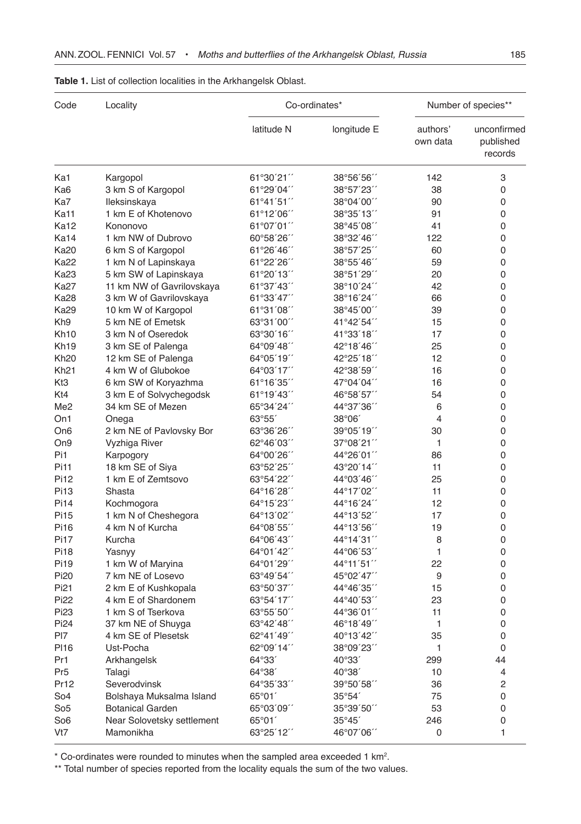| Code             | Locality                   | Co-ordinates*       |                 | Number of species**  |                                     |
|------------------|----------------------------|---------------------|-----------------|----------------------|-------------------------------------|
|                  |                            | latitude N          | longitude E     | authors'<br>own data | unconfirmed<br>published<br>records |
| Ka1              | Kargopol                   | 61°30'21''          | 38°56'56"       | 142                  | 3                                   |
| Ka6              | 3 km S of Kargopol         | 61°29'04"           | 38°57'23"       | 38                   | 0                                   |
| Ka7              | Ileksinskaya               | $61^{\circ}41'51''$ | 38°04'00"       | 90                   | 0                                   |
| Ka11             | 1 km E of Khotenovo        | 61°12'06"           | 38°35'13"       | 91                   | 0                                   |
| <b>Ka12</b>      | Kononovo                   | 61°07'01"           | 38°45'08"       | 41                   | 0                                   |
| Ka14             | 1 km NW of Dubrovo         | 60°58'26"           | 38°32'46"       | 122                  | 0                                   |
| <b>Ka20</b>      | 6 km S of Kargopol         | 61°26'46"           | 38°57'25"       | 60                   | 0                                   |
| <b>Ka22</b>      | 1 km N of Lapinskaya       | 61°22'26"           | 38°55'46"       | 59                   | 0                                   |
| <b>Ka23</b>      | 5 km SW of Lapinskaya      | 61°20´13´´          | 38°51'29"       | 20                   | 0                                   |
| Ka27             | 11 km NW of Gavrilovskaya  | 61°37′43′′          | 38°10'24"       | 42                   | 0                                   |
| <b>Ka28</b>      | 3 km W of Gavrilovskaya    | 61°33′47′′          | 38°16'24"       | 66                   | 0                                   |
| <b>Ka29</b>      | 10 km W of Kargopol        | 61°31'08"           | 38°45'00"       | 39                   | 0                                   |
| Kh <sub>9</sub>  | 5 km NE of Emetsk          | 63°31'00"           | 41°42'54"       | 15                   | 0                                   |
| Kh <sub>10</sub> | 3 km N of Oseredok         | 63°30'16"           | 41°33'18"       | 17                   | 0                                   |
|                  |                            |                     |                 |                      |                                     |
| Kh <sub>19</sub> | 3 km SE of Palenga         | 64°09′48′′          | 42°18'46"       | 25                   | 0                                   |
| <b>Kh20</b>      | 12 km SE of Palenga        | $64^{\circ}05'19''$ | 42°25'18"       | 12                   | 0                                   |
| <b>Kh21</b>      | 4 km W of Glubokoe         | 64°03′17′′          | 42°38'59"       | 16                   | 0                                   |
| Kt3              | 6 km SW of Koryazhma       | 61°16'35"           | 47°04'04"       | 16                   | 0                                   |
| Kt4              | 3 km E of Solvychegodsk    | 61°19'43"           | 46°58'57"       | 54                   | 0                                   |
| Me <sub>2</sub>  | 34 km SE of Mezen          | 65°34'24"           | 44°37'36"       | 6                    | 0                                   |
| On1              | Onega                      | 63°55'              | $38^{\circ}06'$ | 4                    | 0                                   |
| On6              | 2 km NE of Pavlovsky Bor   | 63°36'26"           | 39°05'19"       | 30                   | 0                                   |
| On9              | Vyzhiga River              | 62°46'03"           | 37°08'21"       | 1                    | 0                                   |
| Pi1              | Karpogory                  | 64°00'26"           | 44°26'01"       | 86                   | 0                                   |
| Pi11             | 18 km SE of Siya           | 63°52'25"           | 43°20'14"       | 11                   | 0                                   |
| Pi12             | 1 km E of Zemtsovo         | 63°54'22"           | 44°03'46"       | 25                   | 0                                   |
| Pi13             | Shasta                     | 64°16'28"           | 44°17'02''      | 11                   | 0                                   |
| Pi14             | Kochmogora                 | 64°15′23′′          | 44°16'24"       | 12                   | 0                                   |
| Pi15             | 1 km N of Cheshegora       | 64°13'02"           | 44°13′52″       | 17                   | 0                                   |
| Pi16             | 4 km N of Kurcha           | $64^{\circ}08'55''$ | 44°13'56"       | 19                   | 0                                   |
| <b>Pi17</b>      | Kurcha                     | 64°06'43"           | 44°14'31″       | 8                    | 0                                   |
| <b>Pi18</b>      | Yasnyy                     | 64°01'42"           | 44°06'53"       | 1                    | 0                                   |
| Pi19             | 1 km W of Maryina          | 64°01'29"           | 44°11'51″       | 22                   | 0                                   |
| Pi <sub>20</sub> | 7 km NE of Losevo          | 63°49'54"           | 45°02'47''      | 9                    | 0                                   |
| Pi <sub>21</sub> | 2 km E of Kushkopala       | 63°50´37´´          | 44°46′35′′      | 15                   | 0                                   |
| Pi <sub>22</sub> | 4 km E of Shardonem        | 63°54´17´´          | 44°40'53''      | 23                   | 0                                   |
| Pi <sub>23</sub> | 1 km S of Tserkova         | 63°55'50"           | 44°36'01"       | 11                   | $\pmb{0}$                           |
| Pi <sub>24</sub> | 37 km NE of Shuyga         | 63°42'48"           | 46°18'49''      | 1                    | 0                                   |
| PI7              | 4 km SE of Plesetsk        | 62°41'49"           | 40°13'42"       | 35                   | 0                                   |
| <b>PI16</b>      | Ust-Pocha                  | 62°09′14′′          | 38°09'23"       | 1                    | 0                                   |
| Pr1              | Arkhangelsk                | 64°33′              | 40°33'          | 299                  | 44                                  |
| Pr <sub>5</sub>  | Talagi                     | 64°38'              | 40°38'          | 10                   | 4                                   |
| Pr12             | Severodvinsk               | 64°35′33′′          | 39°50'58"       | 36                   | 2                                   |
| So4              | Bolshaya Muksalma Island   | $65^{\circ}01'$     | 35°54'          | 75                   | 0                                   |
| So <sub>5</sub>  | <b>Botanical Garden</b>    | 65°03'09"           | 35°39'50''      | 53                   | 0                                   |
| So <sub>6</sub>  | Near Solovetsky settlement | 65°01'              | 35°45'          | 246                  | 0                                   |
| Vt7              | Mamonikha                  | 63°25'12"           | 46°07'06"       | 0                    | 1                                   |

# **Table 1.** List of collection localities in the Arkhangelsk Oblast.

\* Co-ordinates were rounded to minutes when the sampled area exceeded 1 km<sup>2</sup>.

\*\* Total number of species reported from the locality equals the sum of the two values.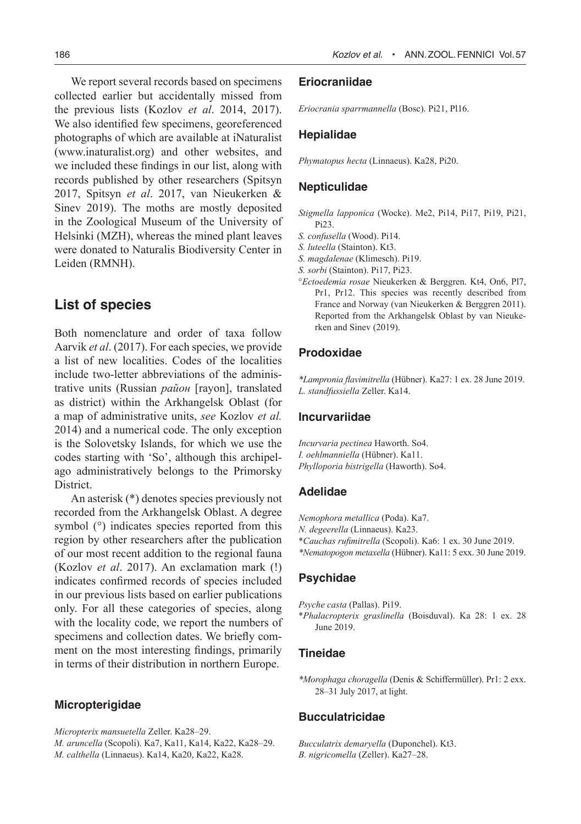We report several records based on specimens collected earlier but accidentally missed from the previous lists (Kozlov *et al*. 2014, 2017). We also identified few specimens, georeferenced photographs of which are available at iNaturalist (www.inaturalist.org) and other websites, and we included these findings in our list, along with records published by other researchers (Spitsyn 2017, Spitsyn *et al*. 2017, van Nieukerken & Sinev 2019). The moths are mostly deposited in the Zoological Museum of the University of Helsinki (MZH), whereas the mined plant leaves were donated to Naturalis Biodiversity Center in Leiden (RMNH).

# **List of species**

Both nomenclature and order of taxa follow Aarvik *et al*. (2017). For each species, we provide a list of new localities. Codes of the localities include two-letter abbreviations of the administrative units (Russian *район* [rayon], translated as district) within the Arkhangelsk Oblast (for a map of administrative units, *see* Kozlov *et al.*  2014) and a numerical code. The only exception is the Solovetsky Islands, for which we use the codes starting with 'So', although this archipelago administratively belongs to the Primorsky **District** 

An asterisk (\*) denotes species previously not recorded from the Arkhangelsk Oblast. A degree symbol ( $\degree$ ) indicates species reported from this region by other researchers after the publication of our most recent addition to the regional fauna (Kozlov *et al*. 2017). An exclamation mark (!) indicates confirmed records of species included in our previous lists based on earlier publications only. For all these categories of species, along with the locality code, we report the numbers of specimens and collection dates. We briefly comment on the most interesting findings, primarily in terms of their distribution in northern Europe.

# **Micropterigidae**

*Micropterix mansuetella* Zeller. Ka28–29.

*M. aruncella* (Scopoli). Ka7, Ka11, Ka14, Ka22, Ka28–29. *M. calthella* (Linnaeus). Ka14, Ka20, Ka22, Ka28.

#### 186 *Kozlov et al.* • ANN.ZOOL.FENNICI Vol.57

#### **Eriocraniidae**

*Eriocrania sparrmannella* (Bosc). Pi21, Pl16.

## **Hepialidae**

*Phymatopus hecta* (Linnaeus). Ka28, Pi20.

# **Nepticulidae**

*Stigmella lapponica* (Wocke). Me2, Pi14, Pi17, Pi19, Pi21, Pi23.

- *S. confusella* (Wood). Pi14.
- *S. luteella* (Stainton). Kt3.
- *S. magdalenae* (Klimesch). Pi19.
- *S. sorbi* (Stainton). Pi17, Pi23.
- °*Ectoedemia rosae* Nieukerken & Berggren. Kt4, On6, Pl7, Pr1, Pr12. This species was recently described from France and Norway (van Nieukerken & Berggren 2011). Reported from the Arkhangelsk Oblast by van Nieukerken and Sinev (2019).

# **Prodoxidae**

*\*Lampronia flavimitrella* (Hübner). Ka27: 1 ex. 28 June 2019. *L. standfussiella* Zeller. Ka14.

#### **Incurvariidae**

*Incurvaria pectinea* Haworth. So4. *I. oehlmanniella* (Hübner). Ka11. *Phylloporia bistrigella* (Haworth). So4.

#### **Adelidae**

*Nemophora metallica* (Poda). Ka7.

- *N. degeerella* (Linnaeus). Ka23.
- \**Cauchas rufimitrella* (Scopoli). Ka6: 1 ex. 30 June 2019.
- *\*Nematopogon metaxella* (Hübner). Ka11: 5 exx. 30 June 2019.

## **Psychidae**

*Psyche casta* (Pallas). Pi19.

\**Phalacropterix graslinella* (Boisduval). Ka 28: 1 ex. 28 June 2019.

## **Tineidae**

*\*Morophaga choragella* (Denis & Schiffermüller). Pr1: 2 exx. 28–31 July 2017, at light.

# **Bucculatricidae**

*Bucculatrix demaryella* (Duponchel). Kt3. *B. nigricomella* (Zeller). Ka27–28.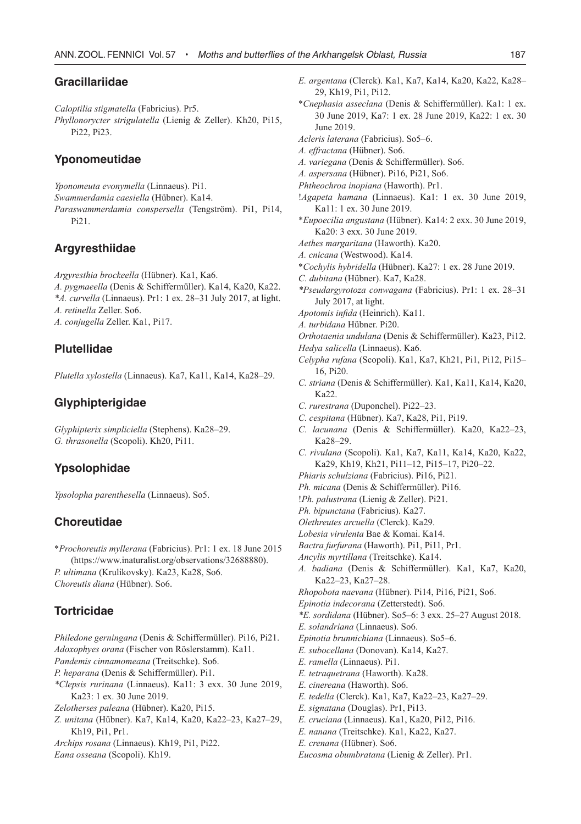# **Gracillariidae**

*Caloptilia stigmatella* (Fabricius). Pr5.

*Phyllonorycter strigulatella* (Lienig & Zeller). Kh20, Pi15, Pi22, Pi23.

#### **Yponomeutidae**

*Yponomeuta evonymella* (Linnaeus). Pi1.

- *Swammerdamia caesiella* (Hübner). Ka14.
- *Paraswammerdamia conspersella* (Tengström). Pi1, Pi14, Pi21.

# **Argyresthiidae**

*Argyresthia brockeella* (Hübner). Ka1, Ka6.

- *A. pygmaeella* (Denis & Schiffermüller). Ka14, Ka20, Ka22. *\*A. curvella* (Linnaeus). Pr1: 1 ex. 28–31 July 2017, at light. *A. retinella* Zeller. So6.
- *A. conjugella* Zeller. Ka1, Pi17.

#### **Plutellidae**

*Plutella xylostella* (Linnaeus). Ka7, Ka11, Ka14, Ka28–29.

#### **Glyphipterigidae**

*Glyphipterix simpliciella* (Stephens). Ka28–29. *G. thrasonella* (Scopoli). Kh20, Pi11.

## **Ypsolophidae**

*Ypsolopha parenthesella* (Linnaeus). So5.

#### **Choreutidae**

\**Prochoreutis myllerana* (Fabricius). Pr1: 1 ex. 18 June 2015 (https://www.inaturalist.org/observations/32688880). *P. ultimana* (Krulikovsky). Ka23, Ka28, So6. *Choreutis diana* (Hübner). So6.

#### **Tortricidae**

- *Philedone gerningana* (Denis & Schiffermüller). Pi16, Pi21. *Adoxophyes orana* (Fischer von Röslerstamm). Ka11. *Pandemis cinnamomeana* (Treitschke). So6. *P. heparana* (Denis & Schiffermüller). Pi1. *\*Clepsis rurinana* (Linnaeus). Ka11: 3 exx. 30 June 2019, Ka23: 1 ex. 30 June 2019.
- *Zelotherses paleana* (Hübner). Ka20, Pi15.
- *Z. unitana* (Hübner). Ka7, Ka14, Ka20, Ka22–23, Ka27–29, Kh19, Pi1, Pr1.

*Archips rosana* (Linnaeus). Kh19, Pi1, Pi22.

*Eana osseana* (Scopoli). Kh19.

- *E. argentana* (Clerck). Ka1, Ka7, Ka14, Ka20, Ka22, Ka28– 29, Kh19, Pi1, Pi12.
- \**Cnephasia asseclana* (Denis & Schiffermüller). Ka1: 1 ex. 30 June 2019, Ka7: 1 ex. 28 June 2019, Ka22: 1 ex. 30 June 2019.
- *Acleris laterana* (Fabricius). So5–6.
- *A. effractana* (Hübner). So6.
- *A. variegana* (Denis & Schiffermüller). So6.
- *A. aspersana* (Hübner). Pi16, Pi21, So6.
- *Phtheochroa inopiana* (Haworth). Pr1.
- !*Agapeta hamana* (Linnaeus). Ka1: 1 ex. 30 June 2019, Ka11: 1 ex. 30 June 2019.
- \**Eupoecilia angustana* (Hübner). Ka14: 2 exx. 30 June 2019, Ka20: 3 exx. 30 June 2019.
- *Aethes margaritana* (Haworth). Ka20.
- *A. cnicana* (Westwood). Ka14.
- \**Cochylis hybridella* (Hübner). Ka27: 1 ex. 28 June 2019.
- *C. dubitana* (Hübner). Ka7, Ka28.
- *\*Pseudargyrotoza conwagana* (Fabricius). Pr1: 1 ex. 28–31 July 2017, at light.
- *Apotomis infida* (Heinrich). Ka11.
- *A. turbidana* Hübner. Pi20.
- *Orthotaenia undulana* (Denis & Schiffermüller). Ka23, Pi12.
- *Hedya salicella* (Linnaeus). Ka6.
- *Celypha rufana* (Scopoli). Ka1, Ka7, Kh21, Pi1, Pi12, Pi15– 16, Pi20.
- *C. striana* (Denis & Schiffermüller). Ka1, Ka11, Ka14, Ka20, Ka22.
- *C. rurestrana* (Duponchel). Pi22–23.
- *C. cespitana* (Hübner). Ka7, Ka28, Pi1, Pi19.
- *C. lacunana* (Denis & Schiffermüller). Ka20, Ka22–23, Ka28–29.
- *C. rivulana* (Scopoli). Ka1, Ka7, Ka11, Ka14, Ka20, Ka22, Ka29, Kh19, Kh21, Pi11–12, Pi15–17, Pi20–22.
- *Phiaris schulziana* (Fabricius). Pi16, Pi21.
- *Ph. micana* (Denis & Schiffermüller). Pi16.
- !*Ph. palustrana* (Lienig & Zeller). Pi21.
- *Ph. bipunctana* (Fabricius). Ka27.
- *Olethreutes arcuella* (Clerck). Ka29.
- *Lobesia virulenta* Bae & Komai. Ka14.
- *Bactra furfurana* (Haworth). Pi1, Pi11, Pr1.
- *Ancylis myrtillana* (Treitschke). Ka14.
- *A. badiana* (Denis & Schiffermüller). Ka1, Ka7, Ka20, Ka22–23, Ka27–28.
- *Rhopobota naevana* (Hübner). Pi14, Pi16, Pi21, So6.
- *Epinotia indecorana* (Zetterstedt). So6.
- *\*E. sordidana* (Hübner). So5–6: 3 exx. 25–27 August 2018.
- *E. solandriana* (Linnaeus). So6.
- *Epinotia brunnichiana* (Linnaeus). So5–6.
- *E. subocellana* (Donovan). Ka14, Ka27.
- *E. ramella* (Linnaeus). Pi1.
- *E. tetraquetrana* (Haworth). Ka28.
- *E. cinereana* (Haworth). So6.
- *E. tedella* (Clerck). Ka1, Ka7, Ka22–23, Ka27–29.
- *E. signatana* (Douglas). Pr1, Pi13.
- *E. cruciana* (Linnaeus). Ka1, Ka20, Pi12, Pi16.
- *E. nanana* (Treitschke). Ka1, Ka22, Ka27.
- *E. crenana* (Hübner). So6.
- *Eucosma obumbratana* (Lienig & Zeller). Pr1.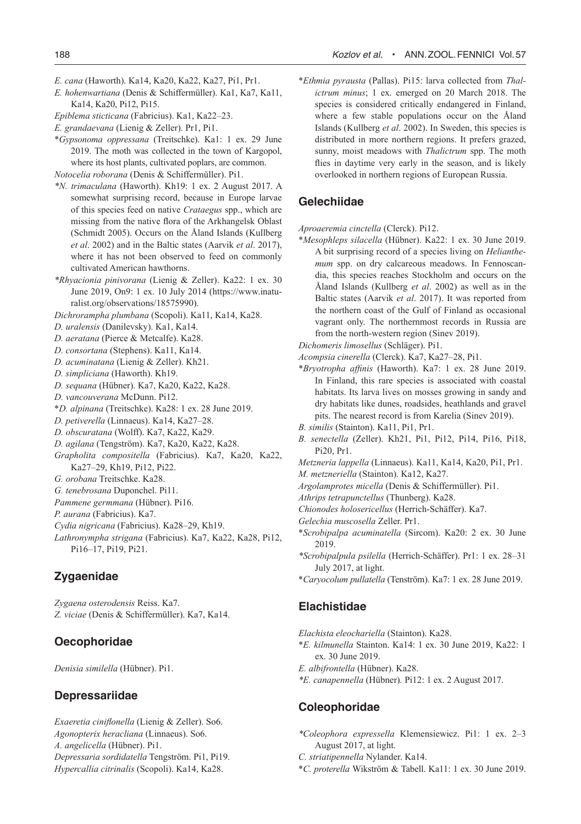- *E. cana* (Haworth). Ka14, Ka20, Ka22, Ka27, Pi1, Pr1.
- *E. hohenwartiana* (Denis & Schiffermüller). Ka1, Ka7, Ka11, Ka14, Ka20, Pi12, Pi15.
- *Epiblema sticticana* (Fabricius). Ka1, Ka22–23.
- *E. grandaevana* (Lienig & Zeller). Pr1, Pi1.
- \**Gypsonoma oppressana* (Treitschke). Ka1: 1 ex. 29 June 2019. The moth was collected in the town of Kargopol, where its host plants, cultivated poplars, are common.
- *Notocelia roborana* (Denis & Schiffermüller). Pi1.
- *\*N. trimaculana* (Haworth). Kh19: 1 ex. 2 August 2017. A somewhat surprising record, because in Europe larvae of this species feed on native *Crataegus* spp., which are missing from the native flora of the Arkhangelsk Oblast (Schmidt 2005). Occurs on the Åland Islands (Kullberg *et al*. 2002) and in the Baltic states (Aarvik *et al*. 2017), where it has not been observed to feed on commonly cultivated American hawthorns.
- *\*Rhyacionia pinivorana* (Lienig & Zeller). Ka22: 1 ex. 30 June 2019, On9: 1 ex. 10 July 2014 (https://www.inaturalist.org/observations/18575990).
- *Dichrorampha plumbana* (Scopoli). Ka11, Ka14, Ka28.
- *D. uralensis* (Danilevsky). Ka1, Ka14.
- *D. aeratana* (Pierce & Metcalfe). Ka28.
- *D. consortana* (Stephens). Ka11, Ka14.
- *D. acuminatana* (Lienig & Zeller). Kh21.
- *D. simpliciana* (Haworth). Kh19.
- *D. sequana* (Hübner). Ka7, Ka20, Ka22, Ka28.
- *D. vancouverana* McDunn. Pi12.
- \**D. alpinana* (Treitschke). Ka28: 1 ex. 28 June 2019.
- *D. petiverella* (Linnaeus). Ka14, Ka27–28.
- *D. obscuratana* (Wolff). Ka7, Ka22, Ka29.
- *D. agilana* (Tengström). Ka7, Ka20, Ka22, Ka28.
- *Grapholita compositella* (Fabricius). Ka7, Ka20, Ka22, Ka27–29, Kh19, Pi12, Pi22.
- *G. orobana* Treitschke. Ka28.
- *G. tenebrosana* Duponchel. Pi11.
- *Pammene germmana* (Hübner). Pi16.
- *P. aurana* (Fabricius). Ka7.
- *Cydia nigricana* (Fabricius). Ka28–29, Kh19.
- *Lathronympha strigana* (Fabricius). Ka7, Ka22, Ka28, Pi12, Pi16–17, Pi19, Pi21.

# **Zygaenidae**

*Zygaena osterodensis* Reiss. Ka7. *Z. viciae* (Denis & Schiffermüller). Ka7, Ka14.

## **Oecophoridae**

*Denisia similella* (Hübner). Pi1.

#### **Depressariidae**

*Exaeretia ciniflonella* (Lienig & Zeller). So6. *Agonopterix heracliana* (Linnaeus). So6. *A. angelicella* (Hübner). Pi1. *Depressaria sordidatella* Tengström. Pi1, Pi19. *Hypercallia citrinalis* (Scopoli). Ka14, Ka28.

\**Ethmia pyrausta* (Pallas). Pi15: larva collected from *Thalictrum minus*; 1 ex. emerged on 20 March 2018. The species is considered critically endangered in Finland, where a few stable populations occur on the Åland Islands (Kullberg *et al*. 2002). In Sweden, this species is distributed in more northern regions. It prefers grazed, sunny, moist meadows with *Thalictrum* spp. The moth flies in daytime very early in the season, and is likely overlooked in northern regions of European Russia.

#### **Gelechiidae**

- *Aproaeremia cinctella* (Clerck). Pi12.
- \**Mesophleps silacella* (Hübner). Ka22: 1 ex. 30 June 2019. A bit surprising record of a species living on *Helianthemum* spp. on dry calcareous meadows. In Fennoscandia, this species reaches Stockholm and occurs on the Åland Islands (Kullberg *et al*. 2002) as well as in the Baltic states (Aarvik *et al*. 2017). It was reported from the northern coast of the Gulf of Finland as occasional vagrant only. The northernmost records in Russia are from the north-western region (Sinev 2019).
- *Dichomeris limosellus* (Schläger). Pi1.
- *Acompsia cinerella* (Clerck). Ka7, Ka27–28, Pi1.
- \**Bryotropha affinis* (Haworth). Ka7: 1 ex. 28 June 2019. In Finland, this rare species is associated with coastal habitats. Its larva lives on mosses growing in sandy and dry habitats like dunes, roadsides, heathlands and gravel pits. The nearest record is from Karelia (Sinev 2019).
- *B. similis* (Stainton). Ka11, Pi1, Pr1.
- *B. senectella* (Zeller). Kh21, Pi1, Pi12, Pi14, Pi16, Pi18, Pi20, Pr1.

*Metzneria lappella* (Linnaeus). Ka11, Ka14, Ka20, Pi1, Pr1.

- *M. metzneriella* (Stainton). Ka12, Ka27.
- *Argolamprotes micella* (Denis & Schiffermüller). Pi1.
- *Athrips tetrapunctellus* (Thunberg). Ka28.
- *Chionodes holosericellus* (Herrich-Schäffer). Ka7.
- *Gelechia muscosella* Zeller. Pr1.
- \**Scrobipalpa acuminatella* (Sircom). Ka20: 2 ex. 30 June 2019.
- *\*Scrobipalpula psilella* (Herrich-Schäffer). Pr1: 1 ex. 28–31 July 2017, at light.
- \**Caryocolum pullatella* (Tenström). Ka7: 1 ex. 28 June 2019.

#### **Elachistidae**

- *Elachista eleochariella* (Stainton). Ka28.
- \**E. kilmunella* Stainton. Ka14: 1 ex. 30 June 2019, Ka22: 1 ex. 30 June 2019.
- *E. albifrontella* (Hübner). Ka28.
- *\*E. canapennella* (Hübner)*.* Pi12: 1 ex. 2 August 2017.

#### **Coleophoridae**

- *\*Coleophora expressella* Klemensiewicz. Pi1: 1 ex. 2–3 August 2017, at light.
- *C. striatipennella* Nylander. Ka14.
- \**C*. *proterella* Wikström & Tabell. Ka11: 1 ex. 30 June 2019.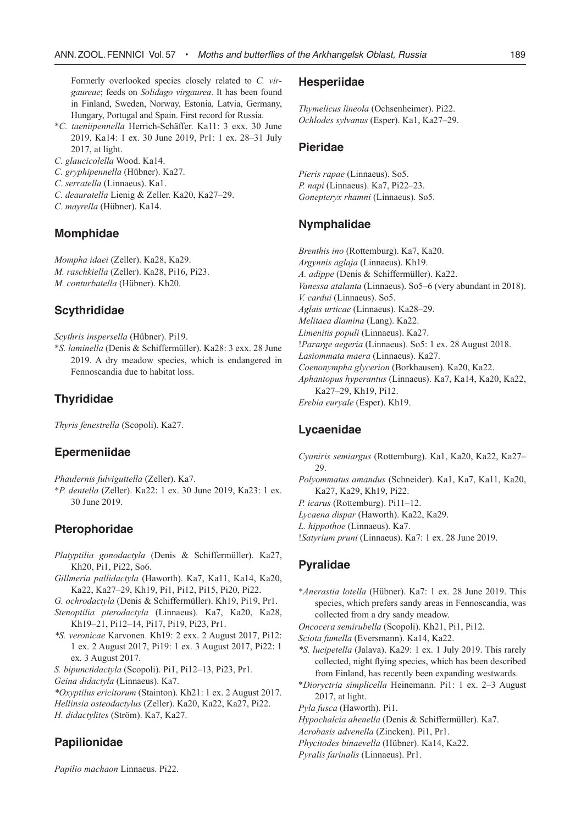Formerly overlooked species closely related to *C. virgaureae*; feeds on *Solidago virgaurea*. It has been found in Finland, Sweden, Norway, Estonia, Latvia, Germany, Hungary, Portugal and Spain. First record for Russia.

- \**C. taeniipennella* Herrich-Schäffer. Ka11: 3 exx. 30 June 2019, Ka14: 1 ex. 30 June 2019, Pr1: 1 ex. 28–31 July 2017, at light.
- *C. glaucicolella* Wood. Ka14.
- *C. gryphipennella* (Hübner). Ka27.
- *C. serratella* (Linnaeus). Ka1.
- *C. deauratella* Lienig & Zeller. Ka20, Ka27–29.
- *C. mayrella* (Hübner). Ka14.

#### **Momphidae**

*Mompha idaei* (Zeller). Ka28, Ka29. *M. raschkiella* (Zeller). Ka28, Pi16, Pi23. *M. conturbatella* (Hübner). Kh20.

#### **Scythrididae**

*Scythris inspersella* (Hübner). Pi19.

\**S. laminella* (Denis & Schiffermüller). Ka28: 3 exx. 28 June 2019. A dry meadow species, which is endangered in Fennoscandia due to habitat loss.

## **Thyrididae**

*Thyris fenestrella* (Scopoli). Ka27.

#### **Epermeniidae**

*Phaulernis fulviguttella* (Zeller). Ka7.

\**P. dentella* (Zeller). Ka22: 1 ex. 30 June 2019, Ka23: 1 ex. 30 June 2019.

### **Pterophoridae**

- *Platyptilia gonodactyla* (Denis & Schiffermüller). Ka27, Kh20, Pi1, Pi22, So6.
- *Gillmeria pallidactyla* (Haworth). Ka7, Ka11, Ka14, Ka20, Ka22, Ka27–29, Kh19, Pi1, Pi12, Pi15, Pi20, Pi22.
- *G. ochrodactyla* (Denis & Schiffermüller). Kh19, Pi19, Pr1.
- *Stenoptilia pterodactyla* (Linnaeus). Ka7, Ka20, Ka28, Kh19–21, Pi12–14, Pi17, Pi19, Pi23, Pr1.
- *\*S. veronicae* Karvonen. Kh19: 2 exx. 2 August 2017, Pi12: 1 ex. 2 August 2017, Pi19: 1 ex. 3 August 2017, Pi22: 1 ex. 3 August 2017.
- *S. bipunctidactyla* (Scopoli). Pi1, Pi12–13, Pi23, Pr1.
- *Geina didactyla* (Linnaeus). Ka7.
- *\*Oxyptilus ericitorum* (Stainton). Kh21: 1 ex. 2 August 2017.
- *Hellinsia osteodactylus* (Zeller). Ka20, Ka22, Ka27, Pi22.

*H. didactylites* (Ström). Ka7, Ka27.

# **Papilionidae**

*Papilio machaon* Linnaeus. Pi22.

#### **Hesperiidae**

*Thymelicus lineola* (Ochsenheimer). Pi22. *Ochlodes sylvanus* (Esper). Ka1, Ka27–29.

#### **Pieridae**

*Pieris rapae* (Linnaeus). So5. *P. napi* (Linnaeus). Ka7, Pi22–23. *Gonepteryx rhamni* (Linnaeus). So5.

## **Nymphalidae**

*Brenthis ino* (Rottemburg). Ka7, Ka20. *Argynnis aglaja* (Linnaeus). Kh19. *A. adippe* (Denis & Schiffermüller). Ka22. *Vanessa atalanta* (Linnaeus). So5–6 (very abundant in 2018). *V. cardui* (Linnaeus). So5. *Aglais urticae* (Linnaeus). Ka28–29. *Melitaea diamina* (Lang). Ka22. *Limenitis populi* (Linnaeus). Ka27. !*Pararge aegeria* (Linnaeus). So5: 1 ex. 28 August 2018. *Lasiommata maera* (Linnaeus). Ka27. *Coenonympha glycerion* (Borkhausen). Ka20, Ka22. *Aphantopus hyperantus* (Linnaeus). Ka7, Ka14, Ka20, Ka22, Ka27–29, Kh19, Pi12. *Erebia euryale* (Esper). Kh19.

## **Lycaenidae**

*Cyaniris semiargus* (Rottemburg). Ka1, Ka20, Ka22, Ka27– 29. *Polyommatus amandus* (Schneider). Ka1, Ka7, Ka11, Ka20,

Ka27, Ka29, Kh19, Pi22.

- *P. icarus* (Rottemburg). Pi11–12.
- *Lycaena dispar* (Haworth). Ka22, Ka29.

*L. hippothoe* (Linnaeus). Ka7.

!*Satyrium pruni* (Linnaeus). Ka7: 1 ex. 28 June 2019.

# **Pyralidae**

\**Anerastia lotella* (Hübner). Ka7: 1 ex. 28 June 2019. This species, which prefers sandy areas in Fennoscandia, was collected from a dry sandy meadow.

*Oncocera semirubella* (Scopoli). Kh21, Pi1, Pi12.

- *Sciota fumella* (Eversmann). Ka14, Ka22.
- *\*S. lucipetella* (Jalava). Ka29: 1 ex. 1 July 2019. This rarely collected, night flying species, which has been described from Finland, has recently been expanding westwards.
- \**Dioryctria simplicella* Heinemann. Pi1: 1 ex. 2–3 August 2017, at light.

*Pyla fusca* (Haworth). Pi1.

- *Hypochalcia ahenella* (Denis & Schiffermüller). Ka7.
- *Acrobasis advenella* (Zincken). Pi1, Pr1.
- *Phycitodes binaevella* (Hübner). Ka14, Ka22.
- *Pyralis farinalis* (Linnaeus). Pr1.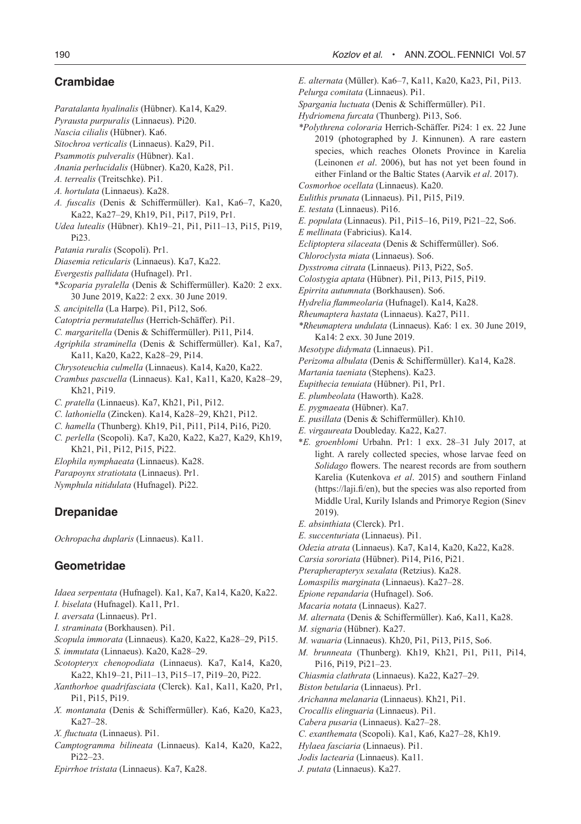# **Crambidae**

- *Paratalanta hyalinalis* (Hübner). Ka14, Ka29.
- *Pyrausta purpuralis* (Linnaeus). Pi20.
- *Nascia cilialis* (Hübner). Ka6.
- *Sitochroa verticalis* (Linnaeus). Ka29, Pi1.
- *Psammotis pulveralis* (Hübner). Ka1.
- *Anania perlucidalis* (Hübner). Ka20, Ka28, Pi1.
- *A. terrealis* (Treitschke). Pi1.
- *A. hortulata* (Linnaeus). Ka28.
- *A. fuscalis* (Denis & Schiffermüller). Ka1, Ka6–7, Ka20, Ka22, Ka27–29, Kh19, Pi1, Pi17, Pi19, Pr1.
- *Udea lutealis* (Hübner). Kh19–21, Pi1, Pi11–13, Pi15, Pi19, Pi23.
- *Patania ruralis* (Scopoli). Pr1.
- *Diasemia reticularis* (Linnaeus). Ka7, Ka22.
- *Evergestis pallidata* (Hufnagel). Pr1.
- \**Scoparia pyralella* (Denis & Schiffermüller). Ka20: 2 exx. 30 June 2019, Ka22: 2 exx. 30 June 2019.
- *S. ancipitella* (La Harpe). Pi1, Pi12, So6.
- *Catoptria permutatellus* (Herrich-Schäffer). Pi1.
- *C. margaritella* (Denis & Schiffermüller). Pi11, Pi14.
- *Agriphila straminella* (Denis & Schiffermüller). Ka1, Ka7, Ka11, Ka20, Ka22, Ka28–29, Pi14.
- *Chrysoteuchia culmella* (Linnaeus). Ka14, Ka20, Ka22.
- *Crambus pascuella* (Linnaeus). Ka1, Ka11, Ka20, Ka28–29, Kh21, Pi19.
- *C. pratella* (Linnaeus). Ka7, Kh21, Pi1, Pi12.
- *C. lathoniella* (Zincken). Ka14, Ka28–29, Kh21, Pi12.
- *C. hamella* (Thunberg). Kh19, Pi1, Pi11, Pi14, Pi16, Pi20.
- *C. perlella* (Scopoli). Ka7, Ka20, Ka22, Ka27, Ka29, Kh19, Kh21, Pi1, Pi12, Pi15, Pi22.
- *Elophila nymphaeata* (Linnaeus). Ka28.
- *Parapoynx stratiotata* (Linnaeus). Pr1.
- *Nymphula nitidulata* (Hufnagel). Pi22.

# **Drepanidae**

*Ochropacha duplaris* (Linnaeus). Ka11.

# **Geometridae**

- *Idaea serpentata* (Hufnagel). Ka1, Ka7, Ka14, Ka20, Ka22.
- *I. biselata* (Hufnagel). Ka11, Pr1.
- *I. aversata* (Linnaeus). Pr1.
- *I. straminata* (Borkhausen). Pi1.
- *Scopula immorata* (Linnaeus). Ka20, Ka22, Ka28–29, Pi15.
- *S. immutata* (Linnaeus). Ka20, Ka28–29.
- *Scotopteryx chenopodiata* (Linnaeus). Ka7, Ka14, Ka20, Ka22, Kh19–21, Pi11–13, Pi15–17, Pi19–20, Pi22.
- *Xanthorhoe quadrifasciata* (Clerck). Ka1, Ka11, Ka20, Pr1, Pi1, Pi15, Pi19.
- *X. montanata* (Denis & Schiffermüller). Ka6, Ka20, Ka23,  $K_{2}27-28$
- *X. fluctuata* (Linnaeus). Pi1.
- *Camptogramma bilineata* (Linnaeus). Ka14, Ka20, Ka22, Pi22–23.
- *Epirrhoe tristata* (Linnaeus). Ka7, Ka28.
- *E. alternata* (Müller). Ka6–7, Ka11, Ka20, Ka23, Pi1, Pi13.
- *Pelurga comitata* (Linnaeus). Pi1.
- *Spargania luctuata* (Denis & Schiffermüller). Pi1.
- *Hydriomena furcata* (Thunberg). Pi13, So6.
- *\*Polythrena coloraria* Herrich-Schäffer. Pi24: 1 ex. 22 June 2019 (photographed by J. Kinnunen). A rare eastern species, which reaches Olonets Province in Karelia (Leinonen *et al*. 2006), but has not yet been found in either Finland or the Baltic States (Aarvik *et al*. 2017).
- *Cosmorhoe ocellata* (Linnaeus). Ka20.
- *Eulithis prunata* (Linnaeus). Pi1, Pi15, Pi19.
- *E. testata* (Linnaeus). Pi16.
- *E. populata* (Linnaeus). Pi1, Pi15–16, Pi19, Pi21–22, So6.
- *E mellinata* (Fabricius). Ka14.
- *Ecliptoptera silaceata* (Denis & Schiffermüller). So6.
- *Chloroclysta miata* (Linnaeus). So6.
- *Dysstroma citrata* (Linnaeus). Pi13, Pi22, So5.
- *Colostygia aptata* (Hübner). Pi1, Pi13, Pi15, Pi19.
- *Epirrita autumnata* (Borkhausen). So6.
- *Hydrelia flammeolaria* (Hufnagel). Ka14, Ka28.
- *Rheumaptera hastata* (Linnaeus). Ka27, Pi11.
- *\*Rheumaptera undulata* (Linnaeus). Ka6: 1 ex. 30 June 2019, Ka14: 2 exx. 30 June 2019.
- *Mesotype didymata* (Linnaeus). Pi1.
- *Perizoma albulata* (Denis & Schiffermüller). Ka14, Ka28.
- *Martania taeniata* (Stephens). Ka23.
- *Eupithecia tenuiata* (Hübner). Pi1, Pr1.
- *E. plumbeolata* (Haworth). Ka28.
- *E. pygmaeata* (Hübner). Ka7.
- *E. pusillata* (Denis & Schiffermüller). Kh10.
- *E. virgaureata* Doubleday. Ka22, Ka27.
- \**E. groenblomi* Urbahn. Pr1: 1 exx. 28–31 July 2017, at light. A rarely collected species, whose larvae feed on *Solidago* flowers. The nearest records are from southern Karelia (Kutenkova *et al*. 2015) and southern Finland (https://laji.fi/en), but the species was also reported from Middle Ural, Kurily Islands and Primorye Region (Sinev 2019).
- *E. absinthiata* (Clerck). Pr1.
- *E. succenturiata* (Linnaeus). Pi1.
- *Odezia atrata* (Linnaeus). Ka7, Ka14, Ka20, Ka22, Ka28.
- *Carsia sororiata* (Hübner). Pi14, Pi16, Pi21.
- *Pterapherapteryx sexalata* (Retzius). Ka28.
- *Lomaspilis marginata* (Linnaeus). Ka27–28.
- *Epione repandaria* (Hufnagel). So6.
- *Macaria notata* (Linnaeus). Ka27.
- *M. alternata* (Denis & Schiffermüller). Ka6, Ka11, Ka28.
- *M. signaria* (Hübner). Ka27.
- *M. wauaria* (Linnaeus). Kh20, Pi1, Pi13, Pi15, So6.
- *M. brunneata* (Thunberg). Kh19, Kh21, Pi1, Pi11, Pi14, Pi16, Pi19, Pi21–23.
- *Chiasmia clathrata* (Linnaeus). Ka22, Ka27–29.
- *Biston betularia* (Linnaeus). Pr1.
- *Arichanna melanaria* (Linnaeus). Kh21, Pi1.
- *Crocallis elinguaria* (Linnaeus). Pi1.
- *Cabera pusaria* (Linnaeus). Ka27–28.
- *C. exanthemata* (Scopoli). Ka1, Ka6, Ka27–28, Kh19.
- *Hylaea fasciaria* (Linnaeus). Pi1.
- *Jodis lactearia* (Linnaeus). Ka11.
- *J. putata* (Linnaeus). Ka27.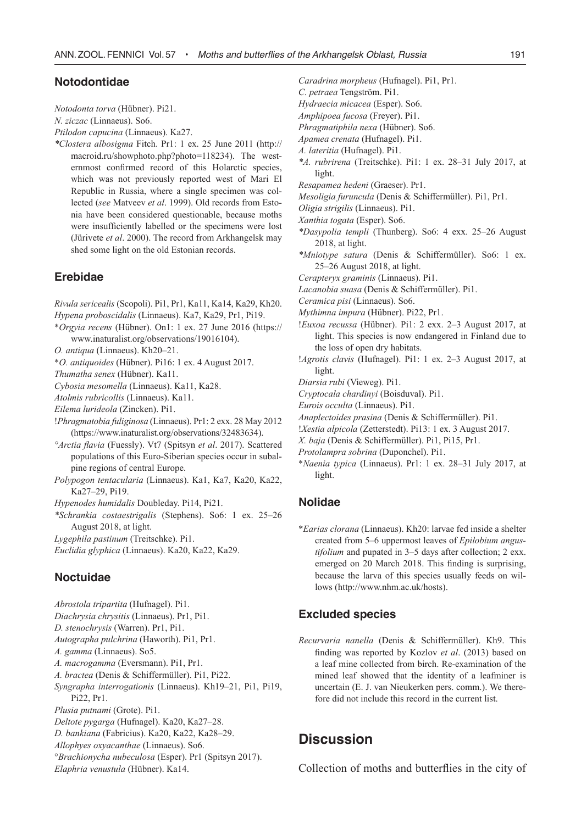## **Notodontidae**

*Notodonta torva* (Hübner). Pi21.

*N. ziczac* (Linnaeus). So6.

*Ptilodon capucina* (Linnaeus). Ka27.

*\*Clostera albosigma* Fitch. Pr1: 1 ex. 25 June 2011 (http:// macroid.ru/showphoto.php?photo=118234). The westernmost confirmed record of this Holarctic species, which was not previously reported west of Mari El Republic in Russia, where a single specimen was collected (*see* Matveev *et al*. 1999). Old records from Estonia have been considered questionable, because moths were insufficiently labelled or the specimens were lost (Jürivete *et al*. 2000). The record from Arkhangelsk may shed some light on the old Estonian records.

# **Erebidae**

*Rivula sericealis* (Scopoli). Pi1, Pr1, Ka11, Ka14, Ka29, Kh20.

- *Hypena proboscidalis* (Linnaeus). Ka7, Ka29, Pr1, Pi19.
- \**Orgyia recens* (Hübner). On1: 1 ex. 27 June 2016 (https:// www.inaturalist.org/observations/19016104).
- *O. antiqua* (Linnaeus). Kh20–21.

\**O. antiquoides* (Hübner). Pi16: 1 ex. 4 August 2017.

*Thumatha senex* (Hübner). Ka11.

*Cybosia mesomella* (Linnaeus). Ka11, Ka28.

*Atolmis rubricollis* (Linnaeus). Ka11.

*Eilema lurideola* (Zincken). Pi1.

!*Phragmatobia fuliginosa* (Linnaeus). Pr1: 2 exx. 28 May 2012 (https://www.inaturalist.org/observations/32483634).

*°Arctia flavia* (Fuessly). Vt7 (Spitsyn *et al*. 2017). Scattered populations of this Euro-Siberian species occur in subalpine regions of central Europe.

*Polypogon tentacularia* (Linnaeus). Ka1, Ka7, Ka20, Ka22, Ka27–29, Pi19.

*Hypenodes humidalis* Doubleday. Pi14, Pi21.

*\*Schrankia costaestrigalis* (Stephens). So6: 1 ex. 25–26 August 2018, at light.

*Lygephila pastinum* (Treitschke). Pi1.

*Euclidia glyphica* (Linnaeus). Ka20, Ka22, Ka29.

# **Noctuidae**

*Abrostola tripartita* (Hufnagel). Pi1. *Diachrysia chrysitis* (Linnaeus). Pr1, Pi1. *D. stenochrysis* (Warren). Pr1, Pi1. *Autographa pulchrina* (Haworth). Pi1, Pr1. *A. gamma* (Linnaeus). So5. *A. macrogamma* (Eversmann). Pi1, Pr1. *A. bractea* (Denis & Schiffermüller). Pi1, Pi22. *Syngrapha interrogationis* (Linnaeus). Kh19–21, Pi1, Pi19, Pi22, Pr1. *Plusia putnami* (Grote). Pi1. *Deltote pygarga* (Hufnagel). Ka20, Ka27–28. *D. bankiana* (Fabricius). Ka20, Ka22, Ka28–29. *Allophyes oxyacanthae* (Linnaeus). So6. °*Brachionycha nubeculosa* (Esper). Pr1 (Spitsyn 2017). *Elaphria venustula* (Hübner). Ka14.

- *Caradrina morpheus* (Hufnagel). Pi1, Pr1.
- *C. petraea* Tengström. Pi1.
- *Hydraecia micacea* (Esper). So6.
- *Amphipoea fucosa* (Freyer). Pi1.
- *Phragmatiphila nexa* (Hübner). So6.
- *Apamea crenata* (Hufnagel). Pi1.
- *A. lateritia* (Hufnagel). Pi1.
- *\*A. rubrirena* (Treitschke). Pi1: 1 ex. 28–31 July 2017, at light.
- *Resapamea hedeni* (Graeser). Pr1.
- *Mesoligia furuncula* (Denis & Schiffermüller). Pi1, Pr1.
- *Oligia strigilis* (Linnaeus). Pi1.
- *Xanthia togata* (Esper). So6.
- *\*Dasypolia templi* (Thunberg). So6: 4 exx. 25–26 August 2018, at light.
- *\*Mniotype satura* (Denis & Schiffermüller). So6: 1 ex. 25–26 August 2018, at light.
- *Cerapteryx graminis* (Linnaeus). Pi1.
- *Lacanobia suasa* (Denis & Schiffermüller). Pi1.
- *Ceramica pisi* (Linnaeus). So6.
- *Mythimna impura* (Hübner). Pi22, Pr1.
- !*Euxoa recussa* (Hübner). Pi1: 2 exx. 2–3 August 2017, at light. This species is now endangered in Finland due to the loss of open dry habitats.
- !*Agrotis clavis* (Hufnagel). Pi1: 1 ex. 2–3 August 2017, at light.
- *Diarsia rubi* (Vieweg). Pi1.
- *Cryptocala chardinyi* (Boisduval). Pi1.
- *Eurois occulta* (Linnaeus). Pi1.
- *Anaplectoides prasina* (Denis & Schiffermüller). Pi1.
- !*Xestia alpicola* (Zetterstedt). Pi13: 1 ex. 3 August 2017.
- *X. baja* (Denis & Schiffermüller). Pi1, Pi15, Pr1.
- *Protolampra sobrina* (Duponchel). Pi1.
- \**Naenia typica* (Linnaeus). Pr1: 1 ex. 28–31 July 2017, at light.

## **Nolidae**

\**Earias clorana* (Linnaeus). Kh20: larvae fed inside a shelter created from 5–6 uppermost leaves of *Epilobium angustifolium* and pupated in 3–5 days after collection; 2 exx. emerged on 20 March 2018. This finding is surprising, because the larva of this species usually feeds on willows (http://www.nhm.ac.uk/hosts).

#### **Excluded species**

*Recurvaria nanella* (Denis & Schiffermüller). Kh9. This finding was reported by Kozlov *et al*. (2013) based on a leaf mine collected from birch. Re-examination of the mined leaf showed that the identity of a leafminer is uncertain (E. J. van Nieukerken pers. comm.). We therefore did not include this record in the current list.

# **Discussion**

Collection of moths and butterflies in the city of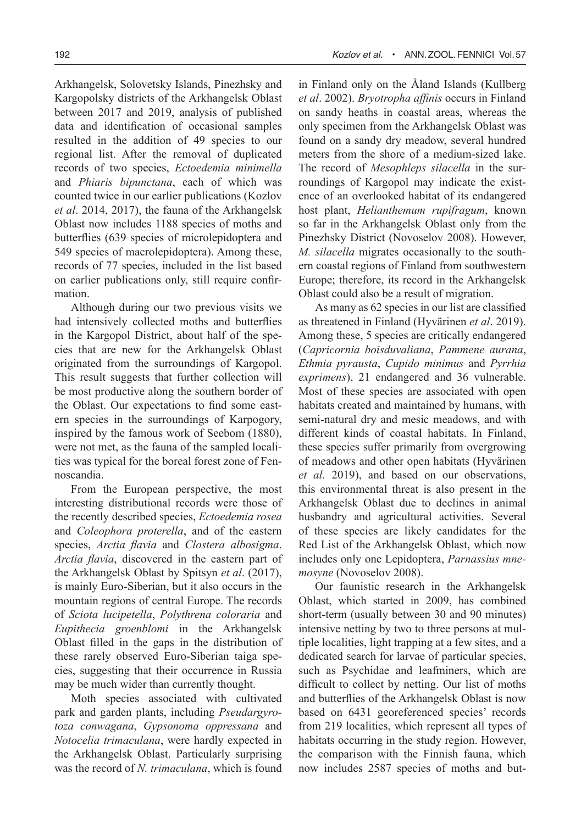Arkhangelsk, Solovetsky Islands, Pinezhsky and Kargopolsky districts of the Arkhangelsk Oblast between 2017 and 2019, analysis of published data and identification of occasional samples resulted in the addition of 49 species to our regional list. After the removal of duplicated records of two species, *Ectoedemia minimella* and *Phiaris bipunctana*, each of which was counted twice in our earlier publications (Kozlov *et al*. 2014, 2017), the fauna of the Arkhangelsk Oblast now includes 1188 species of moths and butterflies (639 species of microlepidoptera and 549 species of macrolepidoptera). Among these, records of 77 species, included in the list based on earlier publications only, still require confirmation.

Although during our two previous visits we had intensively collected moths and butterflies in the Kargopol District, about half of the species that are new for the Arkhangelsk Oblast originated from the surroundings of Kargopol. This result suggests that further collection will be most productive along the southern border of the Oblast. Our expectations to find some eastern species in the surroundings of Karpogory, inspired by the famous work of Seebom (1880), were not met, as the fauna of the sampled localities was typical for the boreal forest zone of Fennoscandia.

From the European perspective, the most interesting distributional records were those of the recently described species, *Ectoedemia rosea* and *Coleophora proterella*, and of the eastern species, *Arctia flavia* and *Clostera albosigma*. *Arctia flavia*, discovered in the eastern part of the Arkhangelsk Oblast by Spitsyn *et al*. (2017), is mainly Euro-Siberian, but it also occurs in the mountain regions of central Europe. The records of *Sciota lucipetella*, *Polythrena coloraria* and *Eupithecia groenblomi* in the Arkhangelsk Oblast filled in the gaps in the distribution of these rarely observed Euro-Siberian taiga species, suggesting that their occurrence in Russia may be much wider than currently thought.

Moth species associated with cultivated park and garden plants, including *Pseudargyrotoza conwagana*, *Gypsonoma oppressana* and *Notocelia trimaculana*, were hardly expected in the Arkhangelsk Oblast. Particularly surprising was the record of *N. trimaculana*, which is found

in Finland only on the Åland Islands (Kullberg *et al*. 2002). *Bryotropha affinis* occurs in Finland on sandy heaths in coastal areas, whereas the only specimen from the Arkhangelsk Oblast was found on a sandy dry meadow, several hundred meters from the shore of a medium-sized lake. The record of *Mesophleps silacella* in the surroundings of Kargopol may indicate the existence of an overlooked habitat of its endangered host plant, *Helianthemum rupifragum*, known so far in the Arkhangelsk Oblast only from the Pinezhsky District (Novoselov 2008). However, *M. silacella* migrates occasionally to the southern coastal regions of Finland from southwestern Europe; therefore, its record in the Arkhangelsk Oblast could also be a result of migration.

As many as 62 species in our list are classified as threatened in Finland (Hyvärinen *et al*. 2019). Among these, 5 species are critically endangered (*Capricornia boisduvaliana*, *Pammene aurana*, *Ethmia pyrausta*, *Cupido minimus* and *Pyrrhia exprimens*), 21 endangered and 36 vulnerable. Most of these species are associated with open habitats created and maintained by humans, with semi-natural dry and mesic meadows, and with different kinds of coastal habitats. In Finland, these species suffer primarily from overgrowing of meadows and other open habitats (Hyvärinen *et al*. 2019), and based on our observations, this environmental threat is also present in the Arkhangelsk Oblast due to declines in animal husbandry and agricultural activities. Several of these species are likely candidates for the Red List of the Arkhangelsk Oblast, which now includes only one Lepidoptera, *Parnassius mnemosyne* (Novoselov 2008).

Our faunistic research in the Arkhangelsk Oblast, which started in 2009, has combined short-term (usually between 30 and 90 minutes) intensive netting by two to three persons at multiple localities, light trapping at a few sites, and a dedicated search for larvae of particular species, such as Psychidae and leafminers, which are difficult to collect by netting. Our list of moths and butterflies of the Arkhangelsk Oblast is now based on 6431 georeferenced species' records from 219 localities, which represent all types of habitats occurring in the study region. However, the comparison with the Finnish fauna, which now includes 2587 species of moths and but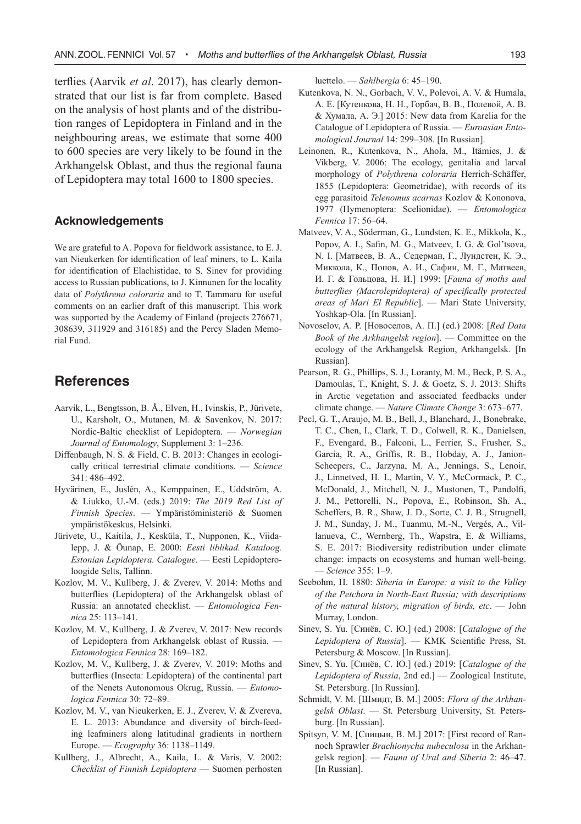terflies (Aarvik *et al*. 2017), has clearly demonstrated that our list is far from complete. Based on the analysis of host plants and of the distribution ranges of Lepidoptera in Finland and in the neighbouring areas, we estimate that some 400 to 600 species are very likely to be found in the Arkhangelsk Oblast, and thus the regional fauna of Lepidoptera may total 1600 to 1800 species.

#### **Acknowledgements**

We are grateful to A. Popova for fieldwork assistance, to E. J. van Nieukerken for identification of leaf miners, to L. Kaila for identification of Elachistidae, to S. Sinev for providing access to Russian publications, to J. Kinnunen for the locality data of *Polythrena coloraria* and to T. Tammaru for useful comments on an earlier draft of this manuscript. This work was supported by the Academy of Finland (projects 276671, 308639, 311929 and 316185) and the Percy Sladen Memorial Fund.

# **References**

- Aarvik, L., Bengtsson, B. Å., Elven, H., Ivinskis, P., Jürivete, U., Karsholt, O., Mutanen, M. & Savenkov, N. 2017: Nordic-Baltic checklist of Lepidoptera. — *Norwegian Journal of Entomology*, Supplement 3: 1–236.
- Diffenbaugh, N. S. & Field, C. B. 2013: Changes in ecologically critical terrestrial climate conditions. — *Science*  341: 486–492.
- Hyvärinen, E., Juslén, A., Kemppainen, E., Uddström, A. & Liukko, U.-M. (eds.) 2019: *The 2019 Red List of Finnish Species*. — Ympäristöministeriö & Suomen ympäristökeskus, Helsinki.
- Jürivete, U., Kaitila, J., Kesküla, T., Nupponen, K., Viidalepp, J. & Õunap, E. 2000: *Eesti liblikad. Kataloog. Estonian Lepidoptera. Catalogue*. — Eesti Lepidopteroloogide Selts, Tallinn.
- Kozlov, M. V., Kullberg, J. & Zverev, V. 2014: Moths and butterflies (Lepidoptera) of the Arkhangelsk oblast of Russia: an annotated checklist. — *Entomologica Fennica* 25: 113–141.
- Kozlov, M. V., Kullberg, J. & Zverev, V. 2017: New records of Lepidoptera from Arkhangelsk oblast of Russia. — *Entomologica Fennica* 28: 169–182.
- Kozlov, M. V., Kullberg, J. & Zverev, V. 2019: Moths and butterflies (Insecta: Lepidoptera) of the continental part of the Nenets Autonomous Okrug, Russia. — *Entomologica Fennica* 30: 72–89.
- Kozlov, M. V., van Nieukerken, E. J., Zverev, V. & Zvereva, E. L. 2013: Abundance and diversity of birch-feeding leafminers along latitudinal gradients in northern Europe. — *Ecography* 36: 1138–1149.
- Kullberg, J., Albrecht, A., Kaila, L. & Varis, V. 2002: *Checklist of Finnish Lepidoptera* — Suomen perhosten

luettelo. — *Sahlbergia* 6: 45–190.

- Kutenkova, N. N., Gorbach, V. V., Polevoi, A. V. & Humala, A. E. [Кутенкова, Н. Н., Горбач, В. В., Полевой, А. В. & Хумала, А. Э.] 2015: New data from Karelia for the Catalogue of Lepidoptera of Russia. — *Euroasian Entomological Journal* 14: 299–308. [In Russian].
- Leinonen, R., Kutenkova, N., Ahola, M., Itämies, J. & Vikberg, V. 2006: The ecology, genitalia and larval morphology of *Polythrena coloraria* Herrich-Schäffer, 1855 (Lepidoptera: Geometridae), with records of its egg parasitoid *Telenomus acarnas* Kozlov & Kononova, 1977 (Hymenoptera: Scelionidae). — *Entomologica Fennica* 17: 56–64.
- Matveev, V. A., Söderman, G., Lundsten, K. E., Mikkola, K., Popov, A. I., Safin, M. G., Matveev, I. G. & Gol'tsova, N. I. [Матвеев, В. А., Седерман, Г., Лундстен, К. Э., Миккола, К., Попов, А. И., Сафин, М. Г., Матвеев, И. Г. & Гольцова, Н. И.] 1999: [*Fauna of moths and butterflies (Macrolepidoptera) of specifically protected areas of Mari El Republic*]. — Mari State University, Yoshkap-Ola. [In Russian].
- Novoselov, A. P. [Новоселов, А. П.] (ed.) 2008: [*Red Data Book of the Arkhangelsk region*]. — Committee on the ecology of the Arkhangelsk Region, Arkhangelsk. [In Russian].
- Pearson, R. G., Phillips, S. J., Loranty, M. M., Beck, P. S. A., Damoulas, T., Knight, S. J. & Goetz, S. J. 2013: Shifts in Arctic vegetation and associated feedbacks under climate change. — *Nature Climate Change* 3: 673–677.
- Pecl, G. T., Araujo, M. B., Bell, J., Blanchard, J., Bonebrake, T. C., Chen, I., Clark, T. D., Colwell, R. K., Danielsen, F., Evengard, B., Falconi, L., Ferrier, S., Frusher, S., Garcia, R. A., Griffis, R. B., Hobday, A. J., Janion-Scheepers, C., Jarzyna, M. A., Jennings, S., Lenoir, J., Linnetved, H. I., Martin, V. Y., McCormack, P. C., McDonald, J., Mitchell, N. J., Mustonen, T., Pandolfi, J. M., Pettorelli, N., Popova, E., Robinson, Sh. A., Scheffers, B. R., Shaw, J. D., Sorte, C. J. B., Strugnell, J. M., Sunday, J. M., Tuanmu, M.-N., Vergés, A., Villanueva, C., Wernberg, Th., Wapstra, E. & Williams, S. E. 2017: Biodiversity redistribution under climate change: impacts on ecosystems and human well-being. — *Science* 355: 1–9.
- Seebohm, H. 1880: *Siberia in Europe: a visit to the Valley of the Petchora in North-East Russia; with descriptions of the natural history, migration of birds, etc*. — John Murray, London.
- Sinev, S. Yu. [Синёв, С. Ю.] (ed.) 2008: [*Catalogue of the Lepidoptera of Russia*]. — KMK Scientific Press, St. Petersburg & Moscow. [In Russian].
- Sinev, S. Yu. [Синёв, С. Ю.] (ed.) 2019: [*Catalogue of the Lepidoptera of Russia*, 2nd ed.] — Zoological Institute, St. Petersburg. [In Russian].
- Schmidt, V. M. [Шмидт, В. М.] 2005: *Flora of the Arkhangelsk Oblast*. — St. Petersburg University, St. Petersburg. [In Russian].
- Spitsyn, V. M. [Спицын, В. М.] 2017: [First record of Rannoch Sprawler *Brachionycha nubeculosa* in the Arkhangelsk region]. — *Fauna of Ural and Siberia* 2: 46–47. [In Russian].